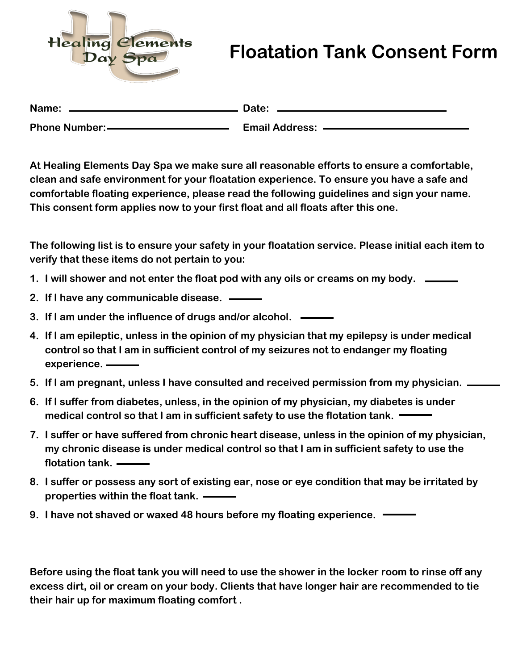

## **Floatation Tank Consent Form**

| Name:                 | Date:                 |
|-----------------------|-----------------------|
| <b>Phone Number:-</b> | <b>Email Address:</b> |

**At Healing Elements Day Spa we make sure all reasonable efforts to ensure a comfortable, clean and safe environment for your floatation experience. To ensure you have a safe and comfortable floating experience, please read the following guidelines and sign your name. This consent form applies now to your first float and all floats after this one.** 

**The following list is to ensure your safety in your floatation service. Please initial each item to verify that these items do not pertain to you:** 

- **1. I will shower and not enter the float pod with any oils or creams on my body.**
- **2. If I have any communicable disease.**
- **3. If I am under the influence of drugs and/or alcohol.**
- **4. If I am epileptic, unless in the opinion of my physician that my epilepsy is under medical control so that I am in sufficient control of my seizures not to endanger my floating experience.**
- **5. If I am pregnant, unless I have consulted and received permission from my physician.**
- **6. If I suffer from diabetes, unless, in the opinion of my physician, my diabetes is under medical control so that I am in sufficient safety to use the flotation tank.**
- **7. I suffer or have suffered from chronic heart disease, unless in the opinion of my physician, my chronic disease is under medical control so that I am in sufficient safety to use the flotation tank.**
- **8. I suffer or possess any sort of existing ear, nose or eye condition that may be irritated by properties within the float tank.**
- **9. I have not shaved or waxed 48 hours before my floating experience.**

**Before using the float tank you will need to use the shower in the locker room to rinse off any excess dirt, oil or cream on your body. Clients that have longer hair are recommended to tie their hair up for maximum floating comfort .**